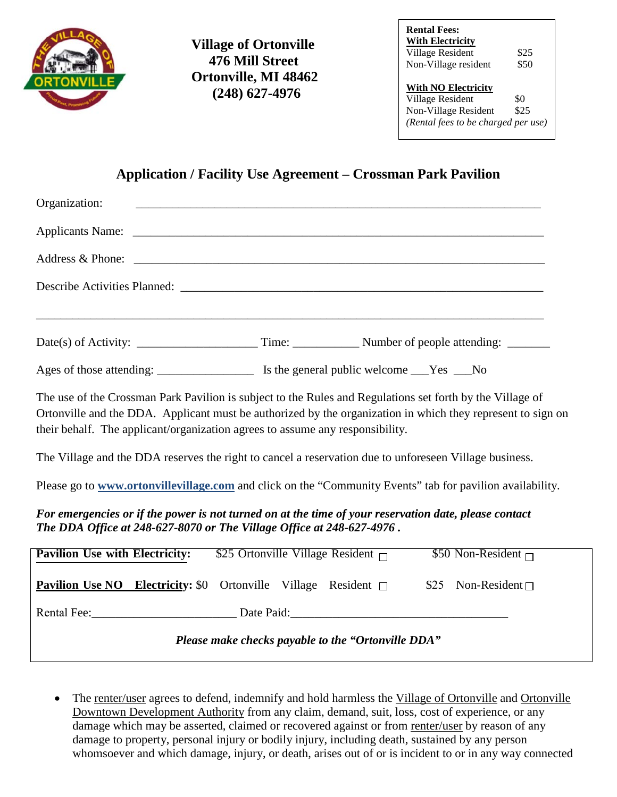

 **Village of Ortonville 476 Mill Street Ortonville, MI 48462 (248) 627-4976**

| <b>With Electricity</b>                        |      |
|------------------------------------------------|------|
| Village Resident                               | \$25 |
|                                                | \$50 |
| Non-Village resident                           |      |
| <b>With NO Electricity</b><br>Village Resident | \$0  |

## **Application / Facility Use Agreement – Crossman Park Pavilion**

| Organization:                                                                                                                                                                                                                                                                                                                                                                                                       |  |  |                             |  |  |
|---------------------------------------------------------------------------------------------------------------------------------------------------------------------------------------------------------------------------------------------------------------------------------------------------------------------------------------------------------------------------------------------------------------------|--|--|-----------------------------|--|--|
|                                                                                                                                                                                                                                                                                                                                                                                                                     |  |  |                             |  |  |
|                                                                                                                                                                                                                                                                                                                                                                                                                     |  |  |                             |  |  |
|                                                                                                                                                                                                                                                                                                                                                                                                                     |  |  |                             |  |  |
|                                                                                                                                                                                                                                                                                                                                                                                                                     |  |  |                             |  |  |
|                                                                                                                                                                                                                                                                                                                                                                                                                     |  |  |                             |  |  |
| The use of the Crossman Park Pavilion is subject to the Rules and Regulations set forth by the Village of<br>Ortonville and the DDA. Applicant must be authorized by the organization in which they represent to sign on<br>their behalf. The applicant/organization agrees to assume any responsibility.<br>The Village and the DDA reserves the right to cancel a reservation due to unforeseen Village business. |  |  |                             |  |  |
| Please go to www.ortonvillevillage.com and click on the "Community Events" tab for pavilion availability.                                                                                                                                                                                                                                                                                                           |  |  |                             |  |  |
| For emergencies or if the power is not turned on at the time of your reservation date, please contact<br>The DDA Office at 248-627-8070 or The Village Office at 248-627-4976.                                                                                                                                                                                                                                      |  |  |                             |  |  |
| <b>Pavilion Use with Electricity:</b> \$25 Ortonville Village Resident $\Box$                                                                                                                                                                                                                                                                                                                                       |  |  | \$50 Non-Resident $\Box$    |  |  |
| <b>Pavilion Use NO</b> Electricity: \$0 Ortonville Village Resident $\Box$                                                                                                                                                                                                                                                                                                                                          |  |  | \$25 Non-Resident $\square$ |  |  |
|                                                                                                                                                                                                                                                                                                                                                                                                                     |  |  |                             |  |  |
| Please make checks payable to the "Ortonville DDA"                                                                                                                                                                                                                                                                                                                                                                  |  |  |                             |  |  |

The renter/user agrees to defend, indemnify and hold harmless the Village of Ortonville and Ortonville Downtown Development Authority from any claim, demand, suit, loss, cost of experience, or any damage which may be asserted, claimed or recovered against or from renter/user by reason of any damage to property, personal injury or bodily injury, including death, sustained by any person whomsoever and which damage, injury, or death, arises out of or is incident to or in any way connected